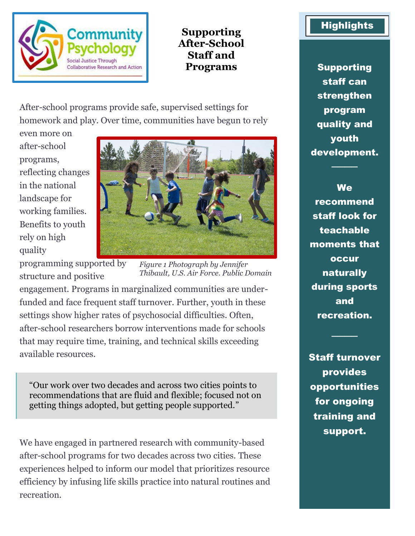

### **Supporting After-School Staff and Programs** Supporting

After-school programs provide safe, supervised settings for homework and play. Over time, communities have begun to rely

even more on after-school programs, reflecting changes in the national landscape for working families. Benefits to youth rely on high quality



programming supported by structure and positive

*Figure 1 Photograph by Jennifer Thibault, U.S. Air Force. Public Domain*

engagement. Programs in marginalized communities are underfunded and face frequent staff turnover. Further, youth in these settings show higher rates of psychosocial difficulties. Often, after-school researchers borrow interventions made for schools that may require time, training, and technical skills exceeding available resources.

"Our work over two decades and across two cities points to recommendations that are fluid and flexible; focused not on getting things adopted, but getting people supported."

We have engaged in partnered research with community-based after-school programs for two decades across two cities. These experiences helped to inform our model that prioritizes resource efficiency by infusing life skills practice into natural routines and recreation.

## **Highlights**

staff can strengthen program quality and youth development.

────

**We** recommend staff look for teachable moments that **occur** naturally during sports and recreation.

Staff turnover provides opportunities for ongoing training and support.

────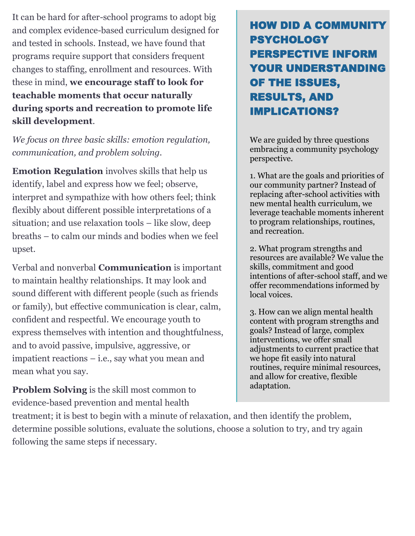It can be hard for after-school programs to adopt big and complex evidence-based curriculum designed for and tested in schools. Instead, we have found that programs require support that considers frequent changes to staffing, enrollment and resources. With these in mind, **we encourage staff to look for teachable moments that occur naturally during sports and recreation to promote life skill development**.

*We focus on three basic skills: emotion regulation, communication, and problem solving.* 

**Emotion Regulation** involves skills that help us identify, label and express how we feel; observe, interpret and sympathize with how others feel; think flexibly about different possible interpretations of a situation; and use relaxation tools – like slow, deep breaths – to calm our minds and bodies when we feel upset.

Verbal and nonverbal **Communication** is important to maintain healthy relationships. It may look and sound different with different people (such as friends or family), but effective communication is clear, calm, confident and respectful. We encourage youth to express themselves with intention and thoughtfulness, and to avoid passive, impulsive, aggressive, or impatient reactions – i.e., say what you mean and mean what you say.

**Problem Solving** is the skill most common to evidence-based prevention and mental health

# HOW DID A COMMUNITY PSYCHOLOGY PERSPECTIVE INFORM YOUR UNDERSTANDING OF THE ISSUES, RESULTS, AND IMPLICATIONS?

We are guided by three questions embracing a community psychology perspective.

1. What are the goals and priorities of our community partner? Instead of replacing after-school activities with new mental health curriculum, we leverage teachable moments inherent to program relationships, routines, and recreation.

2. What program strengths and resources are available? We value the skills, commitment and good intentions of after-school staff, and we offer recommendations informed by local voices.

3. How can we align mental health content with program strengths and goals? Instead of large, complex interventions, we offer small adjustments to current practice that we hope fit easily into natural routines, require minimal resources, and allow for creative, flexible adaptation.

treatment; it is best to begin with a minute of relaxation, and then identify the problem, determine possible solutions, evaluate the solutions, choose a solution to try, and try again following the same steps if necessary.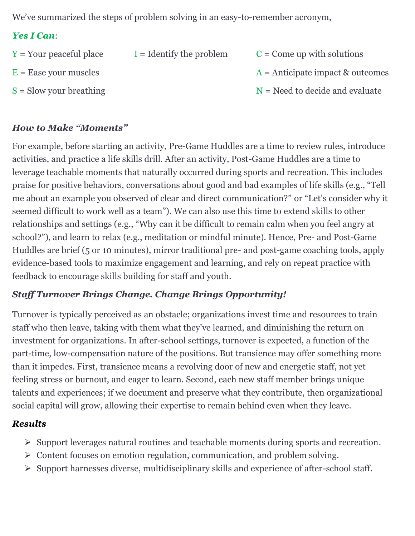We've summarized the steps of problem solving in an easy-to-remember acronym,

#### *Yes I Can*:

| $Y = Your$ peaceful place | $I =$ Identify the problem | $C =$ Come up with solutions       |
|---------------------------|----------------------------|------------------------------------|
| $E =$ Ease your muscles   |                            | $A =$ Anticipate impact & outcomes |
| $S =$ Slow your breathing |                            | $N =$ Need to decide and evaluate  |

#### *How to Make "Moments"*

For example, before starting an activity, Pre-Game Huddles are a time to review rules, introduce activities, and practice a life skills drill. After an activity, Post-Game Huddles are a time to leverage teachable moments that naturally occurred during sports and recreation. This includes praise for positive behaviors, conversations about good and bad examples of life skills (e.g., "Tell me about an example you observed of clear and direct communication?" or "Let's consider why it seemed difficult to work well as a team"). We can also use this time to extend skills to other relationships and settings (e.g., "Why can it be difficult to remain calm when you feel angry at school?"), and learn to relax (e.g., meditation or mindful minute). Hence, Pre- and Post-Game Huddles are brief (5 or 10 minutes), mirror traditional pre- and post-game coaching tools, apply evidence-based tools to maximize engagement and learning, and rely on repeat practice with feedback to encourage skills building for staff and youth.

#### *Staff Turnover Brings Change. Change Brings Opportunity!*

Turnover is typically perceived as an obstacle; organizations invest time and resources to train staff who then leave, taking with them what they've learned, and diminishing the return on investment for organizations. In after-school settings, turnover is expected, a function of the part-time, low-compensation nature of the positions. But transience may offer something more than it impedes. First, transience means a revolving door of new and energetic staff, not yet feeling stress or burnout, and eager to learn. Second, each new staff member brings unique talents and experiences; if we document and preserve what they contribute, then organizational social capital will grow, allowing their expertise to remain behind even when they leave.

#### *Results*

- ➢ Support leverages natural routines and teachable moments during sports and recreation.
- ➢ Content focuses on emotion regulation, communication, and problem solving.
- ➢ Support harnesses diverse, multidisciplinary skills and experience of after-school staff.